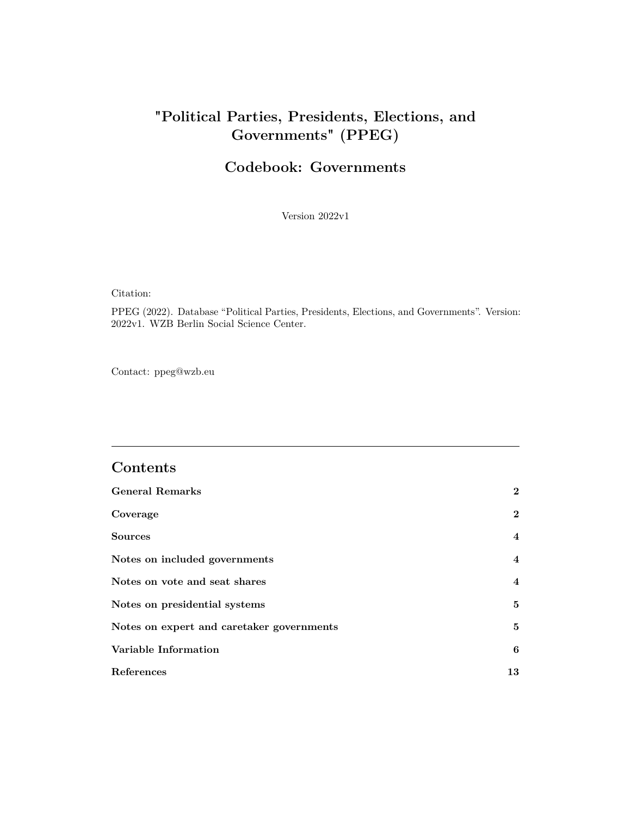# **"Political Parties, Presidents, Elections, and Governments" (PPEG)**

# **Codebook: Governments**

Version 2022v1

Citation:

PPEG (2022). Database "Political Parties, Presidents, Elections, and Governments". Version: 2022v1. WZB Berlin Social Science Center.

Contact:<ppeg@wzb.eu>

## **Contents**

| <b>General Remarks</b>                    | $\mathbf{2}$            |
|-------------------------------------------|-------------------------|
| Coverage                                  | $\bf{2}$                |
| <b>Sources</b>                            | $\overline{4}$          |
| Notes on included governments             | $\overline{\mathbf{4}}$ |
| Notes on vote and seat shares             | $\overline{4}$          |
| Notes on presidential systems             | 5                       |
| Notes on expert and caretaker governments | 5                       |
| Variable Information                      | 6                       |
| References                                | 13                      |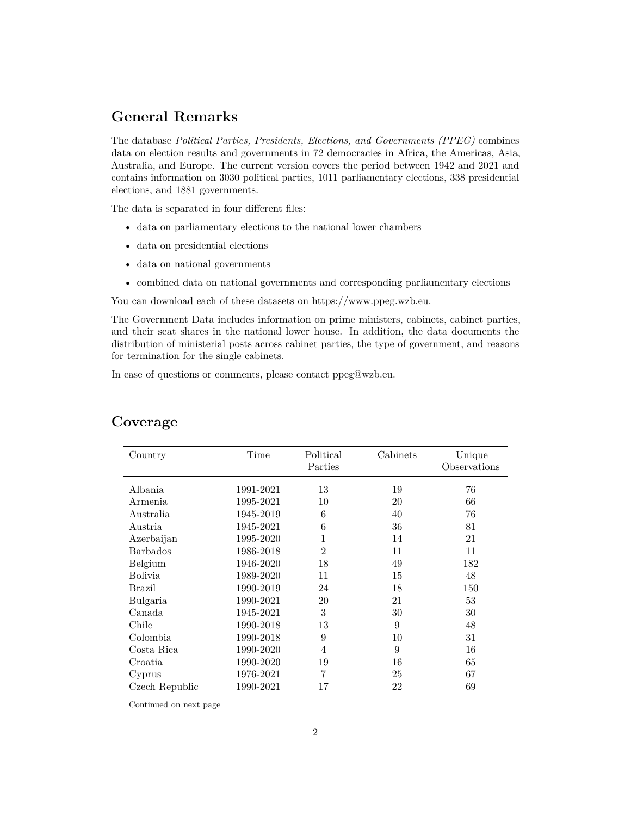### <span id="page-1-0"></span>**General Remarks**

The database *Political Parties, Presidents, Elections, and Governments (PPEG)* combines data on election results and governments in 72 democracies in Africa, the Americas, Asia, Australia, and Europe. The current version covers the period between 1942 and 2021 and contains information on 3030 political parties, 1011 parliamentary elections, 338 presidential elections, and 1881 governments.

The data is separated in four different files:

- data on parliamentary elections to the national lower chambers
- data on presidential elections
- data on national governments
- combined data on national governments and corresponding parliamentary elections

You can download each of these datasets on [https://www.ppeg.wzb.eu.](https://www.ppeg.wzb.eu)

The Government Data includes information on prime ministers, cabinets, cabinet parties, and their seat shares in the national lower house. In addition, the data documents the distribution of ministerial posts across cabinet parties, the type of government, and reasons for termination for the single cabinets.

In case of questions or comments, please contact [ppeg@wzb.eu.](ppeg@wzb.eu)

| Country        | Time      | Political<br>Parties | Cabinets | Unique<br>Observations |
|----------------|-----------|----------------------|----------|------------------------|
| Albania        | 1991-2021 | 13                   | 19       | 76                     |
| Armenia        | 1995-2021 | 10                   | 20       | 66                     |
| Australia      | 1945-2019 | 6                    | 40       | 76                     |
| Austria        | 1945-2021 | 6                    | 36       | 81                     |
| Azerbaijan     | 1995-2020 | 1                    | 14       | 21                     |
| Barbados       | 1986-2018 | $\overline{2}$       | 11       | 11                     |
| Belgium        | 1946-2020 | 18                   | 49       | 182                    |
| Bolivia        | 1989-2020 | 11                   | 15       | 48                     |
| Brazil         | 1990-2019 | 24                   | 18       | 150                    |
| Bulgaria       | 1990-2021 | 20                   | 21       | 53                     |
| Canada         | 1945-2021 | 3                    | 30       | 30                     |
| Chile          | 1990-2018 | 13                   | 9        | 48                     |
| Colombia       | 1990-2018 | 9                    | 10       | 31                     |
| Costa Rica     | 1990-2020 | 4                    | 9        | 16                     |
| Croatia        | 1990-2020 | 19                   | 16       | 65                     |
| Cyprus         | 1976-2021 | 7                    | 25       | 67                     |
| Czech Republic | 1990-2021 | 17                   | 22       | 69                     |

#### <span id="page-1-1"></span>**Coverage**

Continued on next page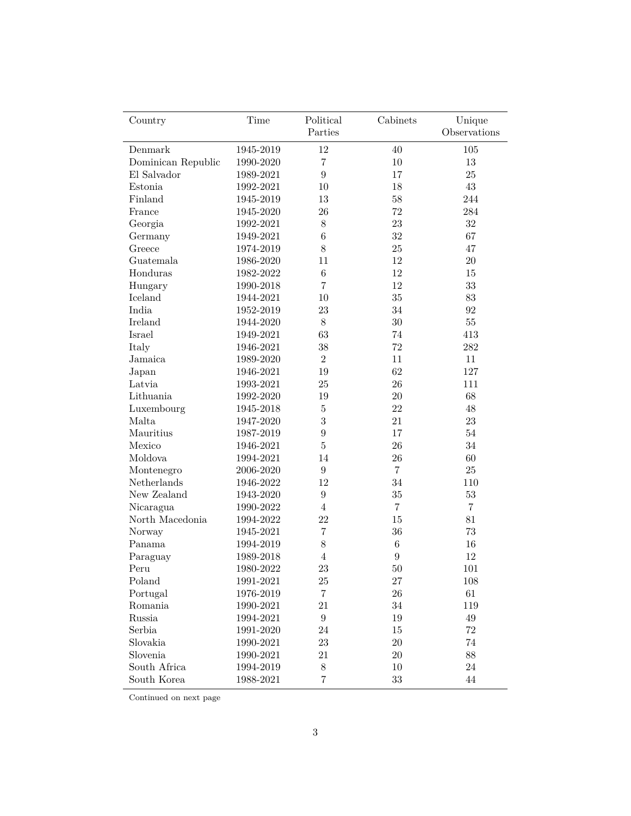| Country            | Time      | Political        | Cabinets         | Unique         |
|--------------------|-----------|------------------|------------------|----------------|
|                    |           | Parties          |                  | Observations   |
| Denmark            | 1945-2019 | 12               | 40               | 105            |
| Dominican Republic | 1990-2020 | 7                | 10               | 13             |
| El Salvador        | 1989-2021 | $\boldsymbol{9}$ | 17               | 25             |
| Estonia            | 1992-2021 | 10               | 18               | 43             |
| Finland            | 1945-2019 | 13               | $58\,$           | 244            |
| France             | 1945-2020 | 26               | 72               | 284            |
| Georgia            | 1992-2021 | 8                | $23\,$           | 32             |
| Germany            | 1949-2021 | 6                | $32\,$           | 67             |
| Greece             | 1974-2019 | 8                | $25\,$           | 47             |
| Guatemala          | 1986-2020 | 11               | 12               | $20\,$         |
| Honduras           | 1982-2022 | $\,6$            | 12               | 15             |
| Hungary            | 1990-2018 | 7                | 12               | 33             |
| Iceland            | 1944-2021 | 10               | 35               | 83             |
| India              | 1952-2019 | 23               | 34               | 92             |
| Ireland            | 1944-2020 | $8\,$            | 30               | 55             |
| Israel             | 1949-2021 | 63               | 74               | 413            |
| Italy              | 1946-2021 | 38               | 72               | 282            |
| Jamaica            | 1989-2020 | $\overline{2}$   | 11               | 11             |
| Japan              | 1946-2021 | 19               | 62               | 127            |
| Latvia             | 1993-2021 | 25               | $26\,$           | 111            |
| Lithuania          | 1992-2020 | 19               | $20\,$           | 68             |
| Luxembourg         | 1945-2018 | 5                | $22\,$           | 48             |
| Malta              | 1947-2020 | 3                | 21               | 23             |
| Mauritius          | 1987-2019 | 9                | 17               | 54             |
| Mexico             | 1946-2021 | 5                | $26\,$           | 34             |
| Moldova            | 1994-2021 | 14               | $26\,$           | 60             |
| Montenegro         | 2006-2020 | 9                | $\overline{7}$   | $25\,$         |
| Netherlands        | 1946-2022 | 12               | 34               | 110            |
| New Zealand        | 1943-2020 | $\boldsymbol{9}$ | $35\,$           | 53             |
| Nicaragua          | 1990-2022 | $\overline{4}$   | $\overline{7}$   | $\overline{7}$ |
| North Macedonia    | 1994-2022 | 22               | 15               | 81             |
| Norway             | 1945-2021 | 7                | $36\,$           | 73             |
| Panama             | 1994-2019 | $8\,$            | $\,6$            | 16             |
| Paraguay           | 1989-2018 | $\overline{4}$   | $\boldsymbol{9}$ | 12             |
| Peru               | 1980-2022 | 23               | 50               | 101            |
| Poland             | 1991-2021 | $25\,$           | 27               | 108            |
| Portugal           | 1976-2019 | 7                | $26\,$           | 61             |
| Romania            | 1990-2021 | $21\,$           | $34\,$           | 119            |
| Russia             | 1994-2021 | $\,9$            | $19\,$           | $49\,$         |
| Serbia             | 1991-2020 | $24\,$           | $15\,$           | $72\,$         |
| Slovakia           | 1990-2021 | $\,23$           | $20\,$           | $74\,$         |
| Slovenia           | 1990-2021 | 21               | $20\,$           | 88             |
| South Africa       | 1994-2019 | 8                | $10\,$           | $24\,$         |
| South Korea        | 1988-2021 | $\overline{7}$   | 33               | 44             |

Continued on next page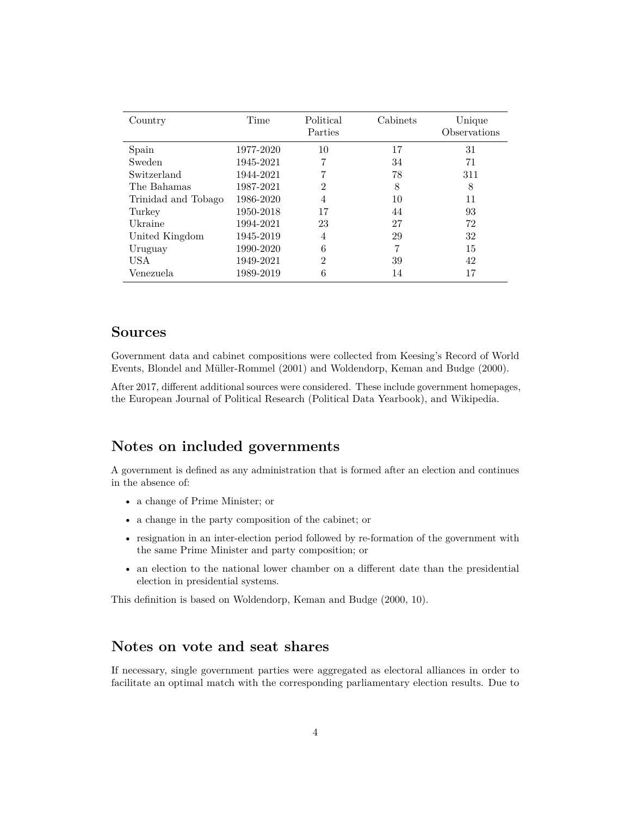| Country             | Time      | Political<br>Parties | Cabinets | Unique<br>Observations |
|---------------------|-----------|----------------------|----------|------------------------|
| Spain               | 1977-2020 | 10                   | 17       | 31                     |
| Sweden              | 1945-2021 | 7                    | 34       | 71                     |
| Switzerland         | 1944-2021 |                      | 78       | 311                    |
| The Bahamas         | 1987-2021 | $\overline{2}$       | 8        | 8                      |
| Trinidad and Tobago | 1986-2020 | 4                    | 10       | 11                     |
| Turkey              | 1950-2018 | 17                   | 44       | 93                     |
| Ukraine             | 1994-2021 | 23                   | 27       | 72                     |
| United Kingdom      | 1945-2019 | 4                    | 29       | 32                     |
| Uruguay             | 1990-2020 | 6                    |          | 15                     |
| USA                 | 1949-2021 | $\mathfrak{D}$       | 39       | 42                     |
| Venezuela           | 1989-2019 | 6                    | 14       | 17                     |

#### <span id="page-3-0"></span>**Sources**

Government data and cabinet compositions were collected from Keesing's Record of World Events, [Blondel and Müller-Rommel](#page-12-0) [\(2001\)](#page-12-0) and [Woldendorp, Keman and Budge](#page-12-1) [\(2000\)](#page-12-1).

After 2017, different additional sources were considered. These include government homepages, the European Journal of Political Research (Political Data Yearbook), and Wikipedia.

## <span id="page-3-1"></span>**Notes on included governments**

A government is defined as any administration that is formed after an election and continues in the absence of:

- a change of Prime Minister; or
- a change in the party composition of the cabinet; or
- resignation in an inter-election period followed by re-formation of the government with the same Prime Minister and party composition; or
- an election to the national lower chamber on a different date than the presidential election in presidential systems.

This definition is based on [Woldendorp, Keman and Budge](#page-12-1) [\(2000,](#page-12-1) 10).

### <span id="page-3-2"></span>**Notes on vote and seat shares**

If necessary, single government parties were aggregated as electoral alliances in order to facilitate an optimal match with the corresponding parliamentary election results. Due to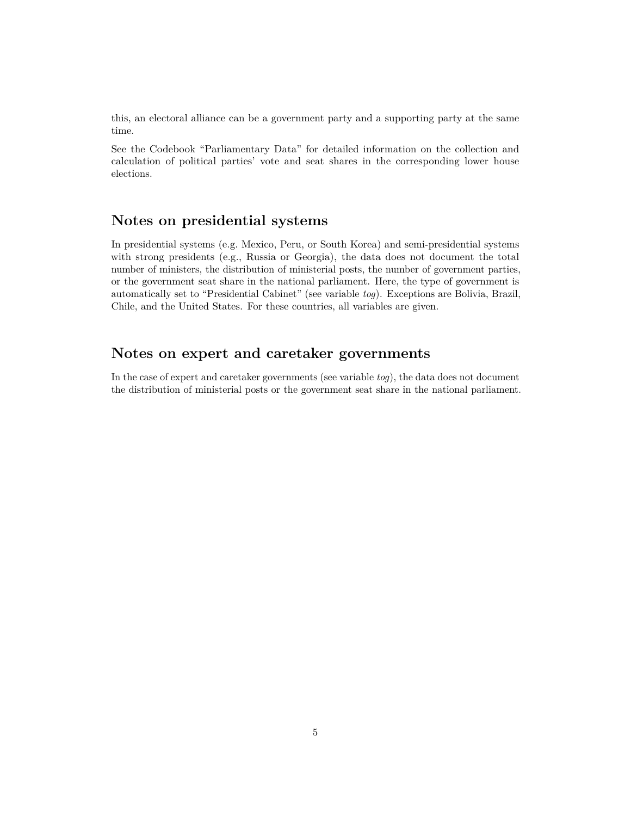this, an electoral alliance can be a government party and a supporting party at the same time.

See the Codebook "Parliamentary Data" for detailed information on the collection and calculation of political parties' vote and seat shares in the corresponding lower house elections.

#### <span id="page-4-0"></span>**Notes on presidential systems**

In presidential systems (e.g. Mexico, Peru, or South Korea) and semi-presidential systems with strong presidents (e.g., Russia or Georgia), the data does not document the total number of ministers, the distribution of ministerial posts, the number of government parties, or the government seat share in the national parliament. Here, the type of government is automatically set to "Presidential Cabinet" (see variable *[tog](#page-6-0)*). Exceptions are Bolivia, Brazil, Chile, and the United States. For these countries, all variables are given.

#### <span id="page-4-1"></span>**Notes on expert and caretaker governments**

In the case of expert and caretaker governments (see variable *[tog](#page-6-0)*), the data does not document the distribution of ministerial posts or the government seat share in the national parliament.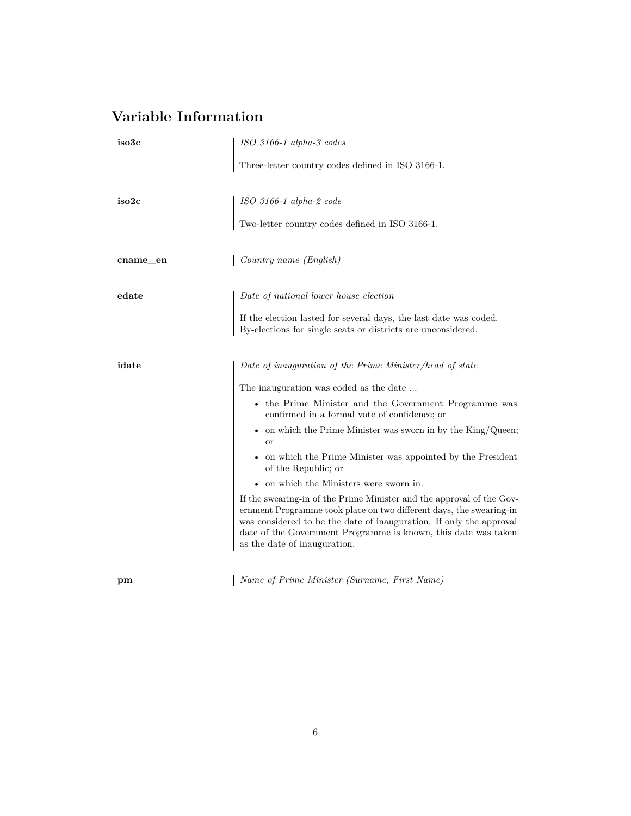# <span id="page-5-0"></span>**Variable Information**

<span id="page-5-2"></span><span id="page-5-1"></span>

| iso3c    | ISO 3166-1 alpha-3 codes                                                                                                                                                                                                                                                                                              |
|----------|-----------------------------------------------------------------------------------------------------------------------------------------------------------------------------------------------------------------------------------------------------------------------------------------------------------------------|
|          | Three-letter country codes defined in ISO 3166-1.                                                                                                                                                                                                                                                                     |
| iso2c    | $ISO\ 3166\hbox{-}1\ alpha\hbox{-}2\ code$                                                                                                                                                                                                                                                                            |
|          | Two-letter country codes defined in ISO 3166-1.                                                                                                                                                                                                                                                                       |
| cname_en | Country name (English)                                                                                                                                                                                                                                                                                                |
| edate    | Date of national lower house election                                                                                                                                                                                                                                                                                 |
|          | If the election lasted for several days, the last date was coded.<br>By-elections for single seats or districts are unconsidered.                                                                                                                                                                                     |
| idate    | Date of inauguration of the Prime Minister/head of state                                                                                                                                                                                                                                                              |
|          | The inauguration was coded as the date                                                                                                                                                                                                                                                                                |
|          | • the Prime Minister and the Government Programme was<br>confirmed in a formal vote of confidence; or                                                                                                                                                                                                                 |
|          | • on which the Prime Minister was sworn in by the $King/Queen;$<br><sub>or</sub>                                                                                                                                                                                                                                      |
|          | • on which the Prime Minister was appointed by the President<br>of the Republic; or                                                                                                                                                                                                                                   |
|          | $\bullet~$ on which the Ministers were sworn in.                                                                                                                                                                                                                                                                      |
|          | If the swearing-in of the Prime Minister and the approval of the Gov-<br>ernment Programme took place on two different days, the swearing-in<br>was considered to be the date of inauguration. If only the approval<br>date of the Government Programme is known, this date was taken<br>as the date of inauguration. |
|          |                                                                                                                                                                                                                                                                                                                       |

**pm** *Name of Prime Minister (Surname, First Name)*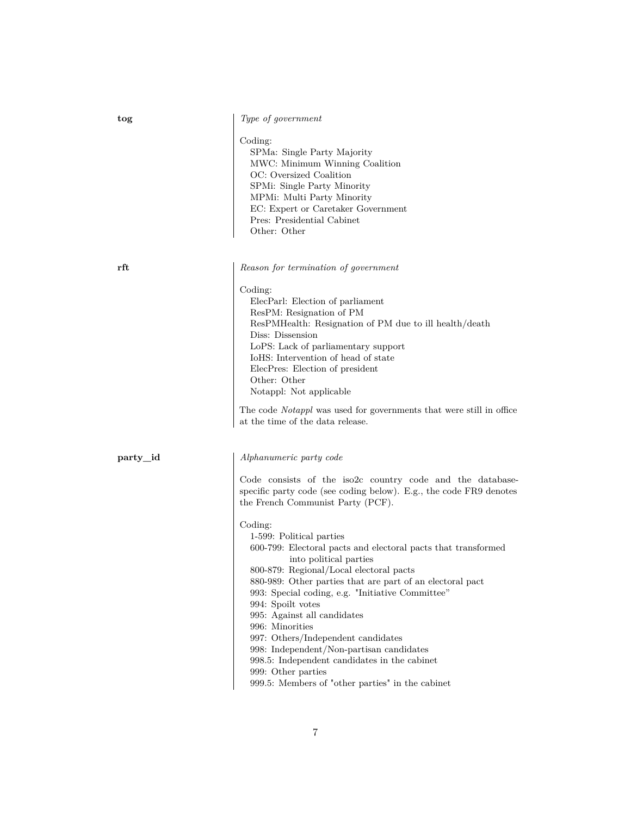|  | Type of government |
|--|--------------------|
|  |                    |

Coding:

SPMa: Single Party Majority MWC: Minimum Winning Coalition OC: Oversized Coalition SPMi: Single Party Minority MPMi: Multi Party Minority EC: Expert or Caretaker Government Pres: Presidential Cabinet Other: Other

**rft** *Reason for termination of government*

Coding:

ElecParl: Election of parliament ResPM: Resignation of PM ResPMHealth: Resignation of PM due to ill health/death Diss: Dissension LoPS: Lack of parliamentary support IoHS: Intervention of head of state ElecPres: Election of president Other: Other Notappl: Not applicable

The code *Notappl* was used for governments that were still in office at the time of the data release.

<span id="page-6-1"></span>

#### **party\_id** *Alphanumeric party code*

Code consists of the iso2c country code and the databasespecific party code (see coding below). E.g., the code FR9 denotes the French Communist Party (PCF).

#### Coding:

1-599: Political parties 600-799: Electoral pacts and electoral pacts that transformed into political parties 800-879: Regional/Local electoral pacts 880-989: Other parties that are part of an electoral pact 993: Special coding, e.g. "Initiative Committee" 994: Spoilt votes 995: Against all candidates 996: Minorities 997: Others/Independent candidates 998: Independent/Non-partisan candidates 998.5: Independent candidates in the cabinet 999: Other parties

999.5: Members of "other parties" in the cabinet

<span id="page-6-0"></span>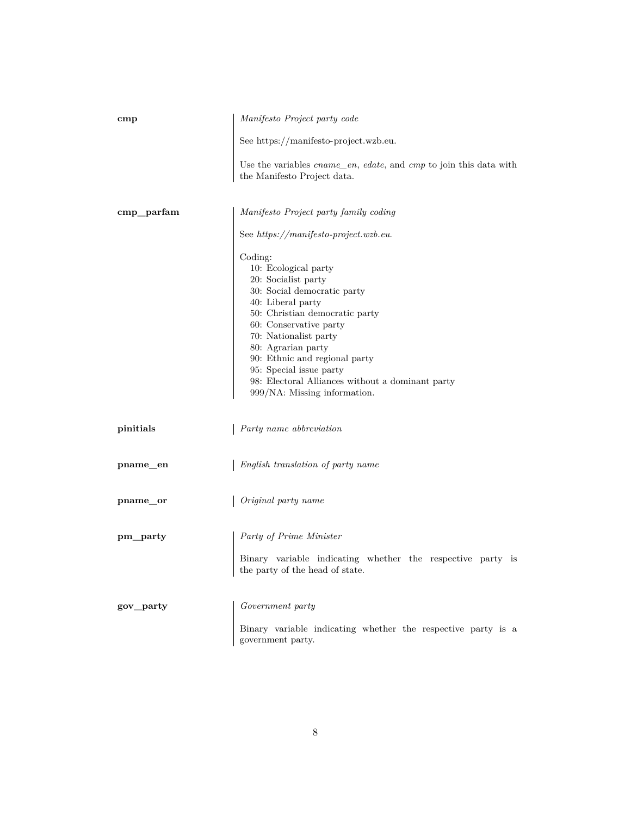<span id="page-7-0"></span>

| $_{\rm{cmp}}$ | Manifesto Project party code                                                                                                                                                                                                                                                                                                                                          |
|---------------|-----------------------------------------------------------------------------------------------------------------------------------------------------------------------------------------------------------------------------------------------------------------------------------------------------------------------------------------------------------------------|
|               | See https://manifesto-project.wzb.eu.                                                                                                                                                                                                                                                                                                                                 |
|               | Use the variables $cname\_en$ , edate, and $cmp$ to join this data with<br>the Manifesto Project data.                                                                                                                                                                                                                                                                |
| $cmp\_parfam$ | Manifesto Project party family coding                                                                                                                                                                                                                                                                                                                                 |
|               | See https://manifesto-project.wzb.eu.                                                                                                                                                                                                                                                                                                                                 |
|               | Coding:<br>10: Ecological party<br>20: Socialist party<br>30: Social democratic party<br>40: Liberal party<br>50: Christian democratic party<br>60: Conservative party<br>70: Nationalist party<br>80: Agrarian party<br>90: Ethnic and regional party<br>95: Special issue party<br>98: Electoral Alliances without a dominant party<br>999/NA: Missing information. |
| pinitials     | Party name abbreviation                                                                                                                                                                                                                                                                                                                                               |
| pname_en      | English translation of party name                                                                                                                                                                                                                                                                                                                                     |
| pname_or      | Original party name                                                                                                                                                                                                                                                                                                                                                   |
| pm_party      | Party of Prime Minister                                                                                                                                                                                                                                                                                                                                               |
|               | Binary variable indicating whether the respective party is<br>the party of the head of state.                                                                                                                                                                                                                                                                         |
| gov_party     | Government party                                                                                                                                                                                                                                                                                                                                                      |
|               | Binary variable indicating whether the respective party is a<br>government party.                                                                                                                                                                                                                                                                                     |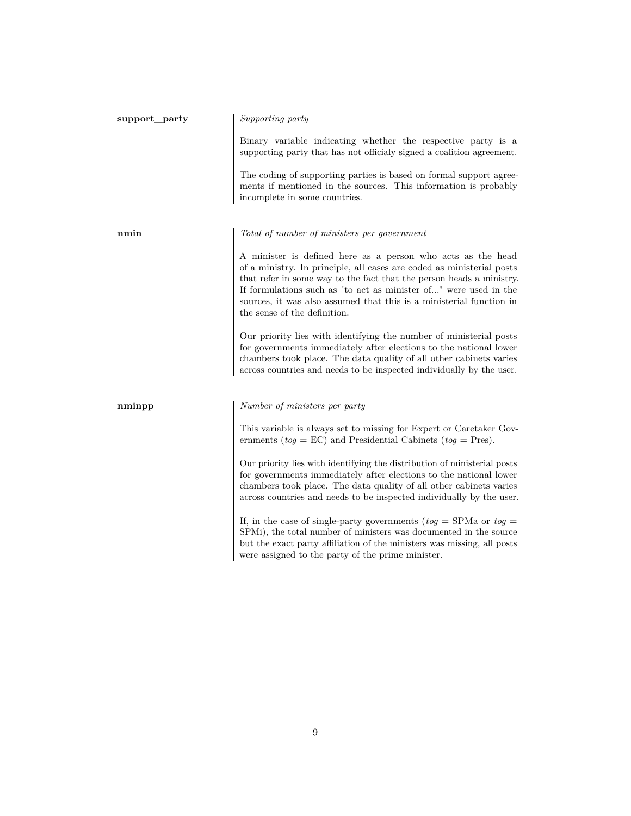| support_party | Supporting party                                                                                                                                                                                                                                                                                                                                                                        |
|---------------|-----------------------------------------------------------------------------------------------------------------------------------------------------------------------------------------------------------------------------------------------------------------------------------------------------------------------------------------------------------------------------------------|
|               | Binary variable indicating whether the respective party is a<br>supporting party that has not officially signed a coalition agreement.                                                                                                                                                                                                                                                  |
|               | The coding of supporting parties is based on formal support agree-<br>ments if mentioned in the sources. This information is probably<br>incomplete in some countries.                                                                                                                                                                                                                  |
| nmin          | Total of number of ministers per government                                                                                                                                                                                                                                                                                                                                             |
|               | A minister is defined here as a person who acts as the head<br>of a ministry. In principle, all cases are coded as ministerial posts<br>that refer in some way to the fact that the person heads a ministry.<br>If formulations such as "to act as minister of" were used in the<br>sources, it was also assumed that this is a ministerial function in<br>the sense of the definition. |
|               | Our priority lies with identifying the number of ministerial posts<br>for governments immediately after elections to the national lower<br>chambers took place. The data quality of all other cabinets varies<br>across countries and needs to be inspected individually by the user.                                                                                                   |
| nminpp        | Number of ministers per party                                                                                                                                                                                                                                                                                                                                                           |
|               | This variable is always set to missing for Expert or Caretaker Gov-<br>ernments ( $tog = EC$ ) and Presidential Cabinets ( $tog = Pres$ ).                                                                                                                                                                                                                                              |
|               | Our priority lies with identifying the distribution of ministerial posts<br>for governments immediately after elections to the national lower<br>chambers took place. The data quality of all other cabinets varies<br>across countries and needs to be inspected individually by the user.                                                                                             |
|               | If, in the case of single-party governments ( $tog =$ SPMa or $tog =$<br>SPMi), the total number of ministers was documented in the source<br>but the exact party affiliation of the ministers was missing, all posts<br>were assigned to the party of the prime minister.                                                                                                              |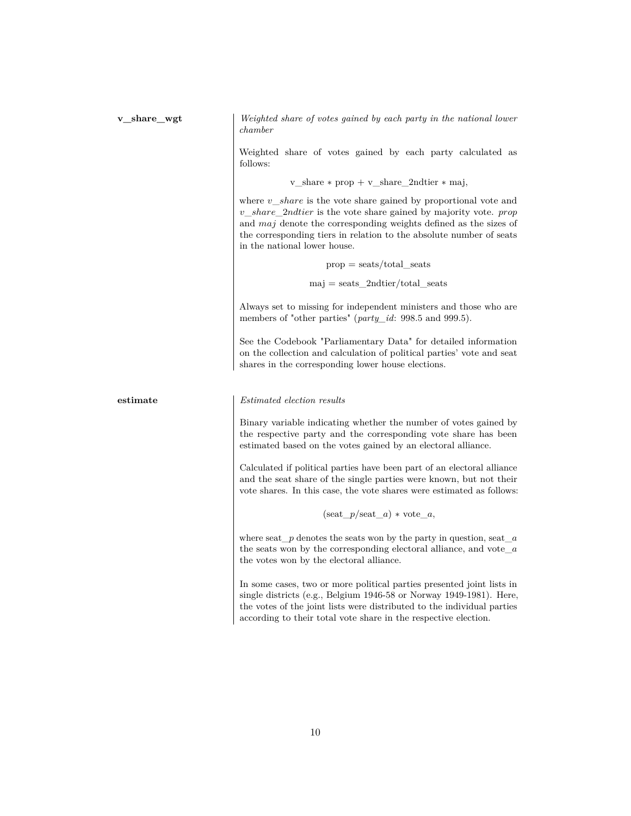**v\_share\_wgt** *Weighted share of votes gained by each party in the national lower chamber*

> Weighted share of votes gained by each party calculated as follows:

> > v\_share ∗ prop + v\_share\_2ndtier ∗ maj,

where *v share* is the vote share gained by proportional vote and *v*\_*share*\_2*ndtier* is the vote share gained by majority vote. *prop* and *maj* denote the corresponding weights defined as the sizes of the corresponding tiers in relation to the absolute number of seats in the national lower house.

> $prop = \text{seats}/\text{total}$  seats  $maj = seats$  2ndtier/total seats

Always set to missing for independent ministers and those who are members of "other parties" (*[party\\_id](#page-6-1)*: 998.5 and 999.5).

See the Codebook "Parliamentary Data" for detailed information on the collection and calculation of political parties' vote and seat shares in the corresponding lower house elections.

**estimate** *Estimated election results*

Binary variable indicating whether the number of votes gained by the respective party and the corresponding vote share has been estimated based on the votes gained by an electoral alliance.

Calculated if political parties have been part of an electoral alliance and the seat share of the single parties were known, but not their vote shares. In this case, the vote shares were estimated as follows:

 $(\text{seat}\ \ p/\text{seat}\ \ a) * \text{vote}\ \ a,$ 

where seat\_*p* denotes the seats won by the party in question, seat\_*a* the seats won by the corresponding electoral alliance, and vote\_*a* the votes won by the electoral alliance.

In some cases, two or more political parties presented joint lists in single districts (e.g., Belgium 1946-58 or Norway 1949-1981). Here, the votes of the joint lists were distributed to the individual parties according to their total vote share in the respective election.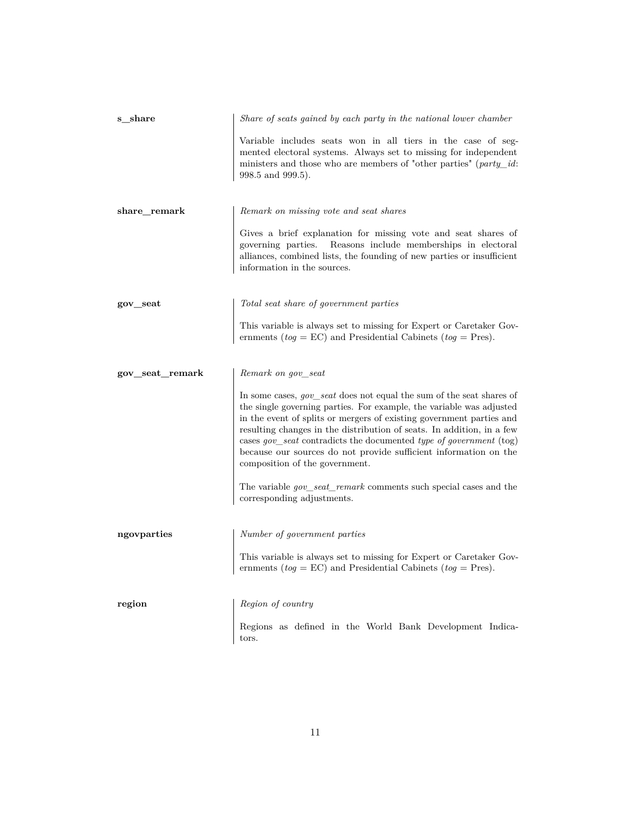<span id="page-10-0"></span>

| s share         | Share of seats gained by each party in the national lower chamber                                                                                                                                                                                                                                                                                                                                                                                                                |
|-----------------|----------------------------------------------------------------------------------------------------------------------------------------------------------------------------------------------------------------------------------------------------------------------------------------------------------------------------------------------------------------------------------------------------------------------------------------------------------------------------------|
|                 | Variable includes seats won in all tiers in the case of seg-<br>mented electoral systems. Always set to missing for independent<br>ministers and those who are members of "other parties" ( $party_id$ :<br>998.5 and 999.5).                                                                                                                                                                                                                                                    |
| share_remark    | Remark on missing vote and seat shares                                                                                                                                                                                                                                                                                                                                                                                                                                           |
|                 | Gives a brief explanation for missing vote and seat shares of<br>governing parties.<br>Reasons include memberships in electoral<br>alliances, combined lists, the founding of new parties or insufficient<br>information in the sources.                                                                                                                                                                                                                                         |
| gov_seat        | Total seat share of government parties                                                                                                                                                                                                                                                                                                                                                                                                                                           |
|                 | This variable is always set to missing for Expert or Caretaker Gov-<br>ernments ( $tog = EC$ ) and Presidential Cabinets ( $tog = Pres$ ).                                                                                                                                                                                                                                                                                                                                       |
| gov_seat_remark | Remark on gov_seat                                                                                                                                                                                                                                                                                                                                                                                                                                                               |
|                 | In some cases, <i>gov_seat</i> does not equal the sum of the seat shares of<br>the single governing parties. For example, the variable was adjusted<br>in the event of splits or mergers of existing government parties and<br>resulting changes in the distribution of seats. In addition, in a few<br>cases gov seat contradicts the documented type of government (tog)<br>because our sources do not provide sufficient information on the<br>composition of the government. |
|                 | The variable <i>gov_seat_remark</i> comments such special cases and the<br>corresponding adjustments.                                                                                                                                                                                                                                                                                                                                                                            |
| ngovparties     | Number of government parties                                                                                                                                                                                                                                                                                                                                                                                                                                                     |
|                 | This variable is always set to missing for Expert or Caretaker Gov-<br>ernments ( $tog = EC$ ) and Presidential Cabinets ( $tog = Pres$ ).                                                                                                                                                                                                                                                                                                                                       |
| region          | Region of country                                                                                                                                                                                                                                                                                                                                                                                                                                                                |
|                 | Regions as defined in the World Bank Development Indica-<br>tors.                                                                                                                                                                                                                                                                                                                                                                                                                |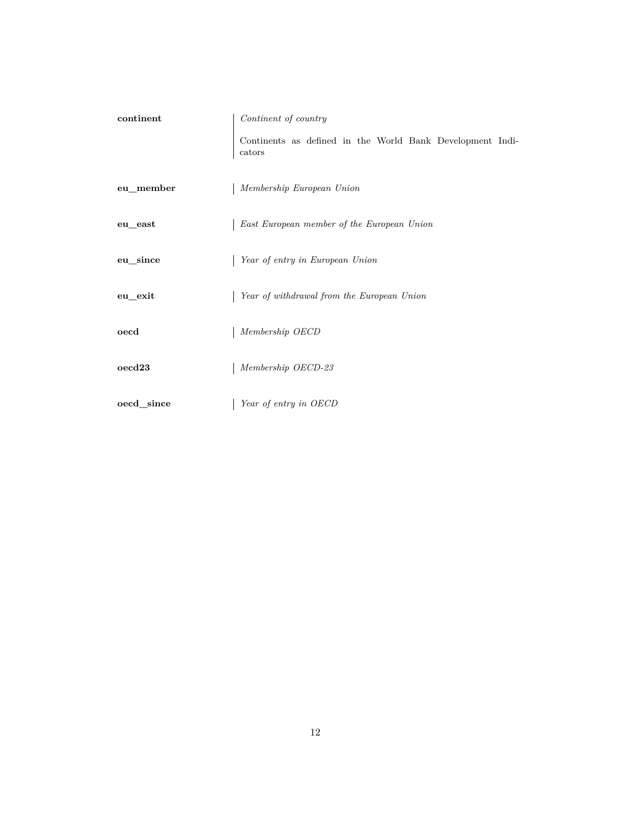<span id="page-11-0"></span>

| continent                  | Continent of country                                                |
|----------------------------|---------------------------------------------------------------------|
|                            | Continents as defined in the World Bank Development Indi-<br>cators |
| eu_member                  | Membership European Union                                           |
| ${\tt eu\_east}$           | East European member of the European Union                          |
| eu_since                   | Year of entry in European Union                                     |
| eu_exit                    | Year of withdrawal from the European Union                          |
| oecd                       | Membership OECD                                                     |
| $\mathrm{o}\mathrm{ecd}23$ | Membership OECD-23                                                  |
| oecd_since                 | Year of entry in OECD                                               |